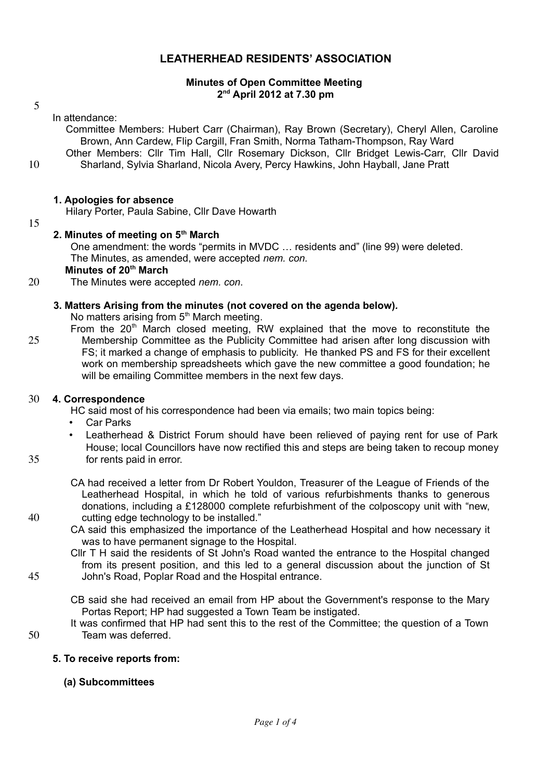## **LEATHERHEAD RESIDENTS' ASSOCIATION**

### **Minutes of Open Committee Meeting 2 nd April 2012 at 7.30 pm**

5

10

15

35

40

45

50

In attendance:

Committee Members: Hubert Carr (Chairman), Ray Brown (Secretary), Cheryl Allen, Caroline Brown, Ann Cardew, Flip Cargill, Fran Smith, Norma Tatham-Thompson, Ray Ward Other Members: Cllr Tim Hall, Cllr Rosemary Dickson, Cllr Bridget Lewis-Carr, Cllr David Sharland, Sylvia Sharland, Nicola Avery, Percy Hawkins, John Hayball, Jane Pratt

## **1. Apologies for absence**

Hilary Porter, Paula Sabine, Cllr Dave Howarth

### **2. Minutes of meeting on 5th March**

One amendment: the words "permits in MVDC … residents and" (line 99) were deleted. The Minutes, as amended, were accepted *nem. con.*  **Minutes of 20th March**

The Minutes were accepted *nem. con.* 20

### **3. Matters Arising from the minutes (not covered on the agenda below)***.*

No matters arising from  $5<sup>th</sup>$  March meeting.

From the  $20<sup>th</sup>$  March closed meeting, RW explained that the move to reconstitute the Membership Committee as the Publicity Committee had arisen after long discussion with FS; it marked a change of emphasis to publicity. He thanked PS and FS for their excellent work on membership spreadsheets which gave the new committee a good foundation; he will be emailing Committee members in the next few days. 25

#### **4. Correspondence** 30

HC said most of his correspondence had been via emails; two main topics being:

- Car Parks
- Leatherhead & District Forum should have been relieved of paying rent for use of Park House; local Councillors have now rectified this and steps are being taken to recoup money for rents paid in error.

CA had received a letter from Dr Robert Youldon, Treasurer of the League of Friends of the Leatherhead Hospital, in which he told of various refurbishments thanks to generous donations, including a £128000 complete refurbishment of the colposcopy unit with "new, cutting edge technology to be installed."

CA said this emphasized the importance of the Leatherhead Hospital and how necessary it was to have permanent signage to the Hospital.

Cllr T H said the residents of St John's Road wanted the entrance to the Hospital changed from its present position, and this led to a general discussion about the junction of St John's Road, Poplar Road and the Hospital entrance.

CB said she had received an email from HP about the Government's response to the Mary Portas Report; HP had suggested a Town Team be instigated.

It was confirmed that HP had sent this to the rest of the Committee; the question of a Town Team was deferred.

#### **5. To receive reports from:**

### **(a) Subcommittees**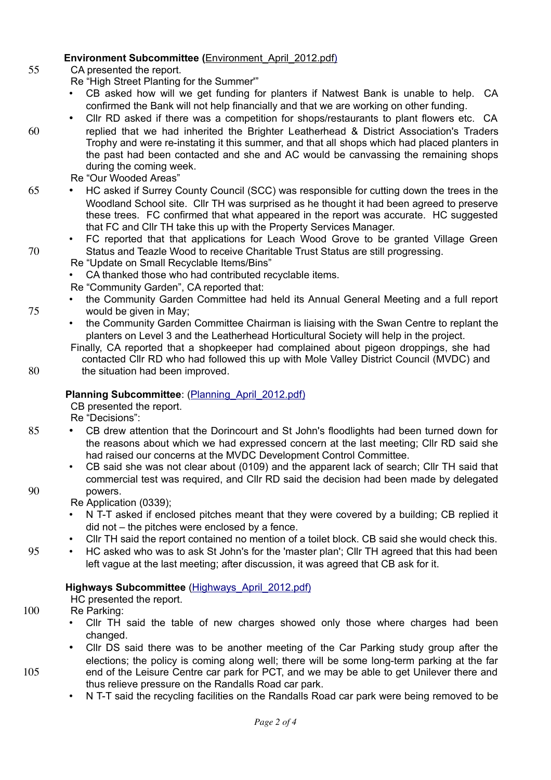## **Environment Subcommittee (Environment April 2012.pdf)**

CA presented the report.

55

75

80

90

95

Re "High Street Planting for the Summer'"

- CB asked how will we get funding for planters if Natwest Bank is unable to help. CA confirmed the Bank will not help financially and that we are working on other funding.
- Cllr RD asked if there was a competition for shops/restaurants to plant flowers etc. CA replied that we had inherited the Brighter Leatherhead & District Association's Traders Trophy and were re-instating it this summer, and that all shops which had placed planters in the past had been contacted and she and AC would be canvassing the remaining shops during the coming week. 60
	- Re "Our Wooded Areas"
- HC asked if Surrey County Council (SCC) was responsible for cutting down the trees in the Woodland School site. Cllr TH was surprised as he thought it had been agreed to preserve these trees. FC confirmed that what appeared in the report was accurate. HC suggested that FC and Cllr TH take this up with the Property Services Manager. 65
- FC reported that that applications for Leach Wood Grove to be granted Village Green Status and Teazle Wood to receive Charitable Trust Status are still progressing. 70
	- Re "Update on Small Recyclable Items/Bins"
	- CA thanked those who had contributed recyclable items.
	- Re "Community Garden", CA reported that:
	- the Community Garden Committee had held its Annual General Meeting and a full report would be given in May:
	- the Community Garden Committee Chairman is liaising with the Swan Centre to replant the planters on Level 3 and the Leatherhead Horticultural Society will help in the project.
	- Finally, CA reported that a shopkeeper had complained about pigeon droppings, she had contacted Cllr RD who had followed this up with Mole Valley District Council (MVDC) and the situation had been improved.

## **Planning Subcommittee**: [\(Planning\\_April\\_2012.pdf\)](http://www.leatherheadresidents.org.uk/Reports/Planning_April_2012.pdf)

CB presented the report.

Re "Decisions":

- CB drew attention that the Dorincourt and St John's floodlights had been turned down for the reasons about which we had expressed concern at the last meeting; Cllr RD said she had raised our concerns at the MVDC Development Control Committee. 85
	- CB said she was not clear about (0109) and the apparent lack of search; Cllr TH said that commercial test was required, and Cllr RD said the decision had been made by delegated powers.

Re Application (0339);

- N T-T asked if enclosed pitches meant that they were covered by a building; CB replied it did not – the pitches were enclosed by a fence.
- Cllr TH said the report contained no mention of a toilet block. CB said she would check this.
- HC asked who was to ask St John's for the 'master plan'; Cllr TH agreed that this had been left vague at the last meeting; after discussion, it was agreed that CB ask for it.

## **Highways Subcommittee** (Highways April 2012.pdf)

- HC presented the report.
- Re Parking: 100
	- Cllr TH said the table of new charges showed only those where charges had been changed.
	- Cllr DS said there was to be another meeting of the Car Parking study group after the elections; the policy is coming along well; there will be some long-term parking at the far end of the Leisure Centre car park for PCT, and we may be able to get Unilever there and thus relieve pressure on the Randalls Road car park.
		- N T-T said the recycling facilities on the Randalls Road car park were being removed to be

105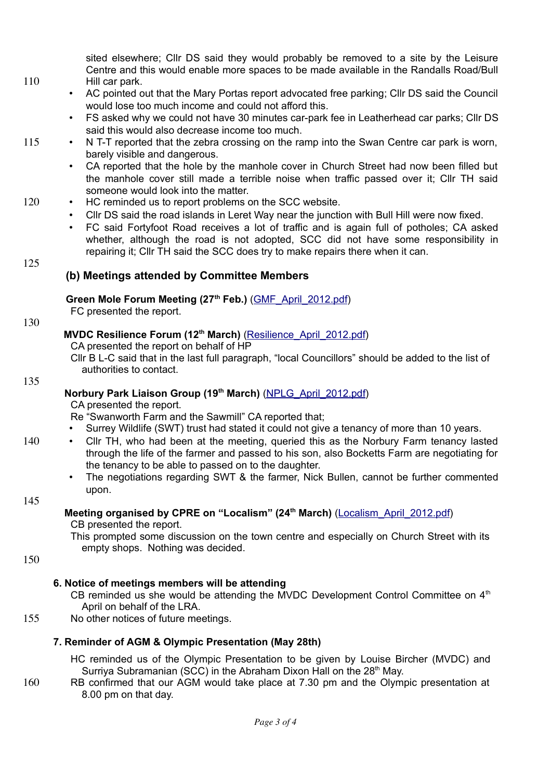sited elsewhere; Cllr DS said they would probably be removed to a site by the Leisure Centre and this would enable more spaces to be made available in the Randalls Road/Bull Hill car park.

- AC pointed out that the Mary Portas report advocated free parking; Cllr DS said the Council would lose too much income and could not afford this.
- FS asked why we could not have 30 minutes car-park fee in Leatherhead car parks; Cllr DS said this would also decrease income too much.
- N T-T reported that the zebra crossing on the ramp into the Swan Centre car park is worn, barely visible and dangerous.
	- CA reported that the hole by the manhole cover in Church Street had now been filled but the manhole cover still made a terrible noise when traffic passed over it; Cllr TH said someone would look into the matter.
- HC reminded us to report problems on the SCC website. 120
	- Cllr DS said the road islands in Leret Way near the junction with Bull Hill were now fixed.
	- FC said Fortyfoot Road receives a lot of traffic and is again full of potholes; CA asked whether, although the road is not adopted. SCC did not have some responsibility in repairing it; Cllr TH said the SCC does try to make repairs there when it can.

#### 125

130

110

115

## **(b) Meetings attended by Committee Members**

## **Green Mole Forum Meeting (27th Feb.)** [\(GMF\\_April\\_2012.pdf\)](http://www.leatherheadresidents.org.uk/Reports/GMF_April_2012.pdf)

FC presented the report.

## **MVDC Resilience Forum (12th March)** [\(Resilience\\_April\\_2012.pdf\)](http://www.leatherheadresidents.org.uk/Reports/Resilience_April_2012.pdf)

CA presented the report on behalf of HP

Cllr B L-C said that in the last full paragraph, "local Councillors" should be added to the list of authorities to contact.

#### 135

## **Norbury Park Liaison Group (19th March)** [\(NPLG\\_April\\_2012.pdf\)](http://www.leatherheadresidents.org.uk/Reports/NPLG_April_2012.pdf)

CA presented the report.

Re "Swanworth Farm and the Sawmill" CA reported that;

- Surrey Wildlife (SWT) trust had stated it could not give a tenancy of more than 10 years.
- Cllr TH, who had been at the meeting, queried this as the Norbury Farm tenancy lasted through the life of the farmer and passed to his son, also Bocketts Farm are negotiating for the tenancy to be able to passed on to the daughter.
	- The negotiations regarding SWT & the farmer, Nick Bullen, cannot be further commented upon.

#### 145

140

#### **Meeting organised by CPRE on "Localism" (24th March)** [\(Localism\\_April\\_2012.pdf\)](http://www.leatherheadresidents.org.uk/Reports/Localism_April_2012.pdf) CB presented the report.

This prompted some discussion on the town centre and especially on Church Street with its empty shops. Nothing was decided.

150

# **6. Notice of meetings members will be attending**

CB reminded us she would be attending the MVDC Development Control Committee on  $4<sup>th</sup>$ April on behalf of the LRA.

No other notices of future meetings. 155

# **7. Reminder of AGM & Olympic Presentation (May 28th)**

HC reminded us of the Olympic Presentation to be given by Louise Bircher (MVDC) and Surriya Subramanian (SCC) in the Abraham Dixon Hall on the  $28<sup>th</sup>$  May.

RB confirmed that our AGM would take place at 7.30 pm and the Olympic presentation at 8.00 pm on that day. 160